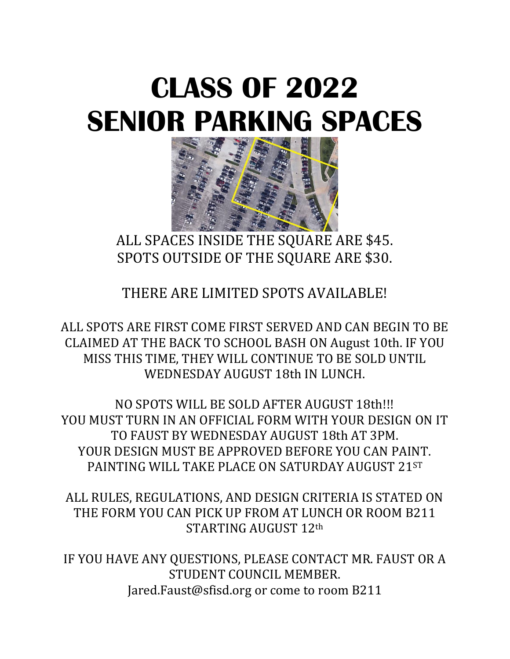# **CLASS OF 2022 SENIOR PARKING SPACES**



ALL SPACES INSIDE THE SQUARE ARE \$45. SPOTS OUTSIDE OF THE SQUARE ARE \$30.

THERE ARE LIMITED SPOTS AVAILABLE!

ALL SPOTS ARE FIRST COME FIRST SERVED AND CAN BEGIN TO BE CLAIMED AT THE BACK TO SCHOOL BASH ON August 10th. IF YOU MISS THIS TIME, THEY WILL CONTINUE TO BE SOLD UNTIL WEDNESDAY AUGUST 18th IN LUNCH.

NO SPOTS WILL BE SOLD AFTER AUGUST 18th!!! YOU MUST TURN IN AN OFFICIAL FORM WITH YOUR DESIGN ON IT TO FAUST BY WEDNESDAY AUGUST 18th AT 3PM. YOUR DESIGN MUST BE APPROVED BEFORE YOU CAN PAINT. PAINTING WILL TAKE PLACE ON SATURDAY AUGUST 21ST

ALL RULES, REGULATIONS, AND DESIGN CRITERIA IS STATED ON THE FORM YOU CAN PICK UP FROM AT LUNCH OR ROOM B211 STARTING AUGUST 12th

IF YOU HAVE ANY QUESTIONS, PLEASE CONTACT MR. FAUST OR A STUDENT COUNCIL MEMBER. Jared.Faust@sfisd.org or come to room B211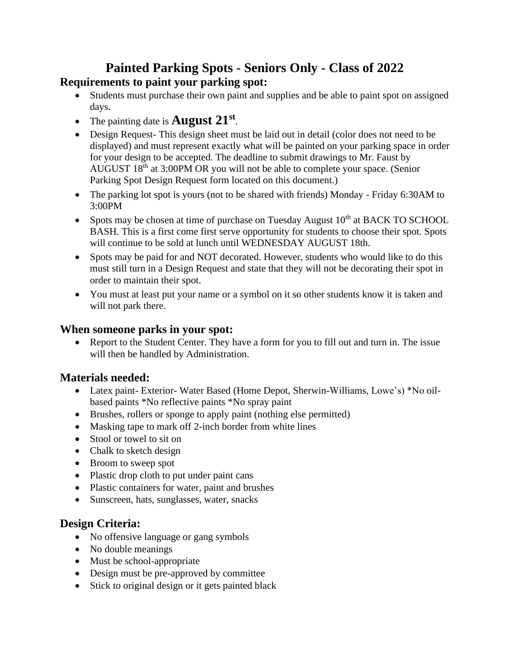#### **Painted Parking Spots - Seniors Only - Class of 2022 Requirements to paint your parking spot:**

- Students must purchase their own paint and supplies and be able to paint spot on assigned days.
- The painting date is **August 21st** .
- Design Request-This design sheet must be laid out in detail (color does not need to be displayed) and must represent exactly what will be painted on your parking space in order for your design to be accepted. The deadline to submit drawings to Mr. Faust by AUGUST 18th at 3:00PM OR you will not be able to complete your space. (Senior Parking Spot Design Request form located on this document.)
- The parking lot spot is yours (not to be shared with friends) Monday Friday 6:30AM to 3:00PM
- Spots may be chosen at time of purchase on Tuesday August  $10<sup>th</sup>$  at BACK TO SCHOOL BASH. This is a first come first serve opportunity for students to choose their spot. Spots will continue to be sold at lunch until WEDNESDAY AUGUST 18th.
- Spots may be paid for and NOT decorated. However, students who would like to do this must still turn in a Design Request and state that they will not be decorating their spot in order to maintain their spot.
- You must at least put your name or a symbol on it so other students know it is taken and will not park there.

#### **When someone parks in your spot:**

• Report to the Student Center. They have a form for you to fill out and turn in. The issue will then be handled by Administration.

#### **Materials needed:**

- Latex paint- Exterior- Water Based (Home Depot, Sherwin-Williams, Lowe's) \*No oilbased paints \*No reflective paints \*No spray paint
- Brushes, rollers or sponge to apply paint (nothing else permitted)
- Masking tape to mark off 2-inch border from white lines
- Stool or towel to sit on
- Chalk to sketch design
- Broom to sweep spot
- Plastic drop cloth to put under paint cans
- Plastic containers for water, paint and brushes
- Sunscreen, hats, sunglasses, water, snacks

#### **Design Criteria:**

- No offensive language or gang symbols
- No double meanings
- Must be school-appropriate
- Design must be pre-approved by committee
- Stick to original design or it gets painted black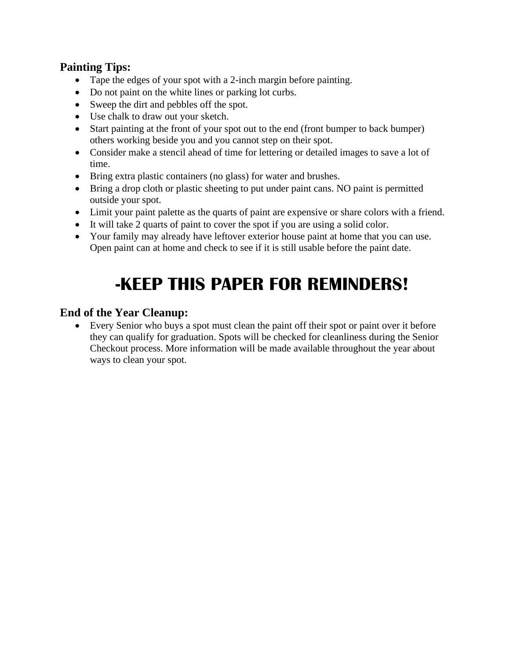#### **Painting Tips:**

- Tape the edges of your spot with a 2-inch margin before painting.
- Do not paint on the white lines or parking lot curbs.
- Sweep the dirt and pebbles off the spot.
- Use chalk to draw out your sketch.
- Start painting at the front of your spot out to the end (front bumper to back bumper) others working beside you and you cannot step on their spot.
- Consider make a stencil ahead of time for lettering or detailed images to save a lot of time.
- Bring extra plastic containers (no glass) for water and brushes.
- Bring a drop cloth or plastic sheeting to put under paint cans. NO paint is permitted outside your spot.
- Limit your paint palette as the quarts of paint are expensive or share colors with a friend.
- It will take 2 quarts of paint to cover the spot if you are using a solid color.
- Your family may already have leftover exterior house paint at home that you can use. Open paint can at home and check to see if it is still usable before the paint date.

## **-KEEP THIS PAPER FOR REMINDERS!**

#### **End of the Year Cleanup:**

• Every Senior who buys a spot must clean the paint off their spot or paint over it before they can qualify for graduation. Spots will be checked for cleanliness during the Senior Checkout process. More information will be made available throughout the year about ways to clean your spot.